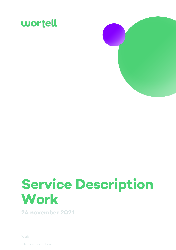



# **Service Description Work**

**24 november 2021**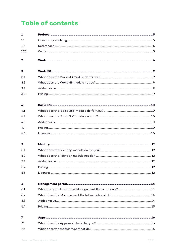## **Table of contents**

| $\mathbf{1}$            |  |
|-------------------------|--|
| 1.1                     |  |
| 1.2                     |  |
| 1.2.1                   |  |
| $\overline{\mathbf{2}}$ |  |
| 3                       |  |
| 3.1                     |  |
| 3.2                     |  |
| 3.3                     |  |
| 3.4                     |  |
| 4                       |  |
| 4.1                     |  |
| 4.2                     |  |
| 4.3                     |  |
| 4.4                     |  |
| 4.5                     |  |
| 5                       |  |
| 5.1                     |  |
| 5.2                     |  |
| 5.3                     |  |
| 5.4                     |  |
| 5.5                     |  |
| 6                       |  |
| 6.1                     |  |
| 6.2                     |  |
| 6.3                     |  |
| 6.4                     |  |
| 7                       |  |
| 7.1                     |  |
| 7.2                     |  |
|                         |  |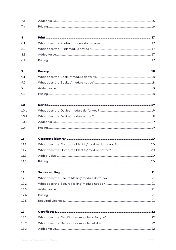| 7.3  |  |
|------|--|
| 7.4  |  |
| 8    |  |
| 8.1  |  |
| 8.2  |  |
| 8.3  |  |
| 8.4  |  |
| 9    |  |
| 9.1  |  |
| 9.2  |  |
| 9.3  |  |
| 9.4  |  |
| 10   |  |
| 10.1 |  |
| 10.2 |  |
| 10.3 |  |
| 10.4 |  |
| 11   |  |
| 11.1 |  |
| 11.2 |  |
| 11.3 |  |
| 11.4 |  |
| 12   |  |
| 12.1 |  |
| 12.2 |  |
| 12.3 |  |
| 12.4 |  |
| 12.5 |  |
| 13   |  |
| 13.1 |  |
| 13.2 |  |
| 13.3 |  |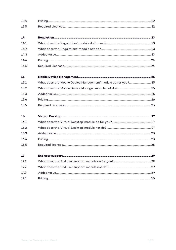| 13.4 |  |
|------|--|
| 13.5 |  |
| 14   |  |
| 14.1 |  |
| 14.2 |  |
| 14.3 |  |
| 14.4 |  |
| 14.5 |  |
| 15   |  |
| 15.1 |  |
| 15.2 |  |
| 15.3 |  |
| 15.4 |  |
| 15.5 |  |
| 16   |  |
| 16.1 |  |
| 16.2 |  |
| 16.3 |  |
| 16.4 |  |
| 16.5 |  |
| 17   |  |
| 17.1 |  |
| 17.2 |  |
| 17.3 |  |
| 17.4 |  |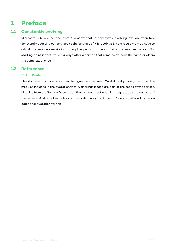### **1 Preface**

#### **1.1 Constantly evolving**

Microsoft 365 is a service from Microsoft that is constantly evolving. We are therefore constantly adapting our services to the services of Microsoft 365. As a result, we may have to adjust our service description during the period that we provide our services to you. Our starting point is that we will always offer a service that remains at least the same or offers the same experience.

#### **1.2 References**

#### **Quote**

This document is underpinning in the agreement between Wortell and your organization. The modules included in the quotation that Wortell has issued are part of the scope of the service. Modules from the Service Description that are not mentioned in the quotation are not part of the service. Additional modules can be added via your Account Manager, who will issue an additional quotation for this.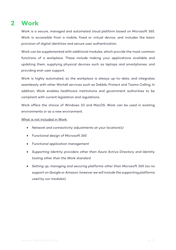### **2 Work**

Work is a secure, managed and automated cloud platform based on Microsoft 365. Work is accessible from a mobile, fixed or virtual device, and includes the basic provision of digital identities and secure user authentication.

Work can be supplemented with additional modules, which provide the most common functions of a workplace. These include making your applications available and updating them, supplying physical devices such as laptops and smartphones, and providing end-user support.

Work is highly automated, so the workplace is always up-to-date, and integrates seamlessly with other Wortell services such as Debble, Protect and Teams Calling. In addition, Work enables healthcare institutions and government authorities to be compliant with current legislation and regulations.

Work offers the choice of Windows 10 and MacOS. Work can be used in existing environments or as a new environment.

What is not included in Work:

- *Network and connectivity adjustments at your location(s)*
- *Functional design of Microsoft 365*
- *Functional application management*
- *Supporting Identity providers other than Azure Active Directory and Identity tooling other than the Work standard*
- *Setting up, managing and securing platforms other than Microsoft 365 (so no support on Google or Amazon, however we will include the supporting platforms used by our modules).*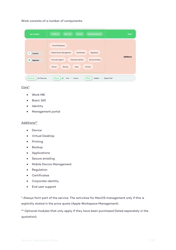Work consists of a number of components:

| <b>Get to WORK</b>                | a *<br>Identity<br>Managementportal<br>Basic 365<br><b>WORK M8</b>          | Core             |
|-----------------------------------|-----------------------------------------------------------------------------|------------------|
|                                   | Virtual Workplace<br>Mobile Device Management<br>Certificates<br>Regulation |                  |
| ⊜<br><b>Licenses</b><br>Migration | End user support<br>Corporate identity<br>Secure emailing                   | <b>Additions</b> |
|                                   | Device<br>Backup<br>Printing<br>Apps                                        |                  |
| Protect.<br>24.7 Security         | 嚼<br>Meet.)<br>Work.)<br>Call  Rooms<br>Debble<br>Digital Vital             |                  |

Core\*

- Work M8
- Basic 365
- Identity
- Management portal

#### Additions\*\*

- Device
- Virtual Desktop
- Printing
- Backup
- Applications
- Secure emailing
- Mobile Device Management
- Regulation
- Certificates
- Corporate identity
- End user support

\* Always form part of the service. The activities for MacOS management only if this is explicitly stated in the price quote (Apple Workspace Management).

\*\* Optional modules that only apply if they have been purchased (listed separately in the quotation).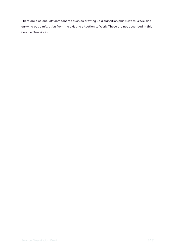There are also one-off components such as drawing up a transition plan (*Get to Work*) and carrying out a *migration* from the existing situation to Work. These are not described in this Service Description.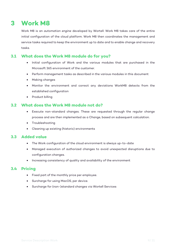### **3 Work M8**

Work M8 is an *automation engine* developed by Wortell. Work M8 takes care of the entire initial configuration of the cloud platform. Work M8 then coordinates the management and service tasks required to keep the environment up to date and to enable change and recovery tasks.

#### **3.1 What does the Work M8 module do for you?**

- Initial configuration of Work and the various modules that are purchased in the Microsoft 365 environment of the customer.
- Perform management tasks as described in the various modules in this document
- Making changes
- Monitor the environment and correct any deviations WorkM8 detects from the established configuration
- Product billing

#### **3.2 What does the Work M8 module not do?**

- Execute non-standard changes. These are requested through the regular change process and are then implemented as a Change, based on subsequent calculation.
- Troubleshooting
- Cleaning up existing (historic) environments

#### **3.3 Added value**

- The Work configuration of the cloud environment is always up-to-date
- Managed execution of authorized changes to avoid unexpected disruptions due to configuration changes.
- Increasing consistency of quality and availability of the environment

- Fixed part of the monthly price per employee.
- Surcharge for using MacOS, per device.
- Surcharge for (non-)standard changes via Wortell Services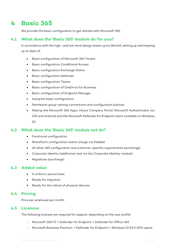### **4 Basic 365**

We provide the basic configuration to get started with Microsoft 365.

#### **4.1 What does the 'Basic 365' module do for you?**

In accordance with the high- and low-level design drawn up by Wortell, setting up and keeping up to date of:

- Basic configuration of Microsoft 365 Tenant
- Basic configuration Conditional Access
- Basic configuration Exchange Online
- Basic configuration Defender
- Basic configuration Teams
- Basic configuration of OneDrive for Business
- Basic configuration of Endpoint Manager
- Autopilot basic configuration
- Permission group naming conventions and configuration policies
- Making the Microsoft 365 Apps, Intune Company Portal, Microsoft Authenticator (on iOS and Android) and the Microsoft Defender for Endpoint client available on Windows 10.

#### **4.2 What does the 'Basic 365' module not do?**

- Functional configuration
- SharePoint configuration (extra charge via Debble)
- All other 365 configuration and customer-specific requirements (surcharge)
- Corporate Identity (additional cost via the Corporate Identity module)
- Migrations (surcharge)

#### **4.3 Added value**

- A uniform, secure base
- Ready for migration
- Ready for the rollout of physical devices

#### **4.4 Pricing**

Price per employee per month.

#### **4.5 Licences**

The following licenses are required for support, depending on the user profile:

- Microsoft 365 F3 + Defender for Endpoint + Defender for Office 365
- Microsoft Business Premium + Defender for Endpoint + Windows 10 E3 (<300 users)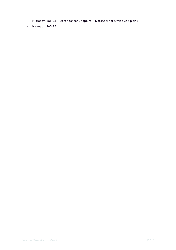- Microsoft 365 E3 + Defender for Endpoint + Defender for Office 365 plan 1
- Microsoft 365 E5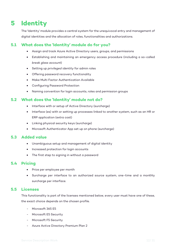### **5 Identity**

The 'Identity' module provides a central system for the unequivocal entry and management of digital identities and the allocation of roles, functionalities and authorizations.

#### **5.1 What does the 'Identity' module do for you?**

- Assign and track Azure Active Directory users, groups, and permissions
- Establishing and maintaining an emergency access procedure (including a so-called *break glass account*)
- Setting up *privileged identity* for admin roles
- Offering password recovery functionality
- Make Multi Factor Authentication Available
- Configuring Password Protection
- Naming convention for login accounts, roles and permission groups

#### **5.2 What does the 'Identity' module not do?**

- Interface with or setup of Active Directory (surcharge)
- Interface (es) with or setting up processes linked to another system, such as an HR or ERP application (extra cost)
- Linking physical security keys (surcharge)
- Microsoft Authenticator App set up on phone (surcharge)

#### **5.3 Added value**

- Unambiguous setup and management of digital identity
- Increased protection for login accounts
- The first step to signing in without a password

#### **5.4 Pricing**

- Price per employee per month
- Surcharge per interface to an authorized source system, one-time and a monthly surcharge per interface.

#### **5.5 Licenses**

This functionality is part of the licenses mentioned below, every user must have one of these, the exact choice depends on the chosen profile.

- Microsoft 365 E5
- Microsoft E5 Security
- Microsoft F5 Security
- Azure Active Directory Premium Plan 2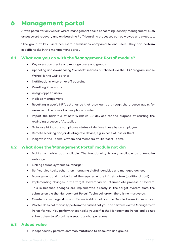### **6 Management portal**

A web portal for *key users\** where management tasks concerning identity management, such as password recovery and on-boarding / off-boarding processes can be viewed and executed.

\*The group of *key users* has extra permissions compared to end users. They can perform specific tasks in the management portal.

#### **6.1 What can you do with the 'Management Portal' module?**

- Key users can create and manage users and groups
- Upscaling and downscaling Microsoft licenses purchased via the CSP program incase Wortell is the CSP partner
- Notifications when on or off boarding
- Resetting Passwords
- Assign apps to users
- Mailbox management
- Resetting a user's MFA settings so that they can go through the process again, for example in the case of a new phone number
- Import the hash file of new Windows 10 devices for the purpose of starting the rewinding process of Autopilot
- Gain insight into the compliance status of devices in use by an employee
- Remote blocking and/or deleting of a device, e.g. in case of loss or theft
- Insights in the Teams, Owners and Members of Microsoft Teams

#### **6.2 What does the 'Management Portal' module not do?**

- Making a mobile app available. The functionality is only available as a (mobile) webpage.
- Linking source systems (surcharge)
- Self-service tasks other than managing digital identities and managed devices
- Management and monitoring of the required Azure infrastructure (additional cost)
- Implementing changes in the target system via an intermediate process or system. This is because changes are implemented directly in the target system from the submission via the Management Portal. Technical jargon: there is no *metaverse*.
- Create and manage Microsoft Teams (additional cost via Debble Teams Governance)
- Wortell does not manually perform the tasks that you can perform via the Management Portal for you. You perform these tasks yourself in the Management Portal and do not submit them to Wortell as a separate change request.

#### **6.3 Added value**

• Independently perform common mutations to accounts and groups.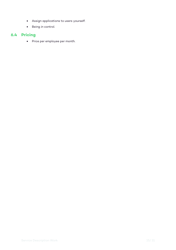- Assign applications to users yourself.
- Being *in* control.

### **6.4 Pricing**

• Price per employee per month.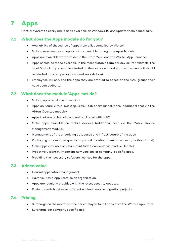### **7 Apps**

Central system to easily make apps available on Windows 10 and update them periodically.

#### **7.1 What does the Apps module do for you?**

- Availability of thousands of apps from a list compiled by Wortell
- Making new versions of applications available through the Apps Module
- Apps are available from a folder in the Start Menu and the Wortell App Launcher.
- Apps should be made available in the most suitable form per device (for example: the local Outlook app should be started on the user's own workstation; the webmail should be started on a temporary or shared workstation).
- Employees will only see the apps they are entitled to based on the AAD groups they have been added to.

#### **7.2 What does the module 'Apps' not do?**

- Making apps available on macOS.
- Apps on Azure Virtual Desktop, Citrix, RDS or similar solutions (additional cost via the Virtual Desktop module).
- Apps that are technically not well packaged with MSIX
- Make apps available on mobile devices (additional cost via the Mobile Device Management module).
- Management of the underlying databases and infrastructure of the apps
- Packaging of company-specific apps and updating them on request (additional cost).
- Make apps available on SharePoint (additional cost via module Debble).
- Proactively identify important new versions of company-specific apps.
- Providing the necessary software licenses for the apps.

#### **7.3 Added value**

- Central application management.
- Have your own App Store as an organization.
- Apps are regularly provided with the latest security updates.
- Easier to switch between different environments in migration projects.

- Surcharge on the monthly price per employee for all apps from the Wortell App Store.
- Surcharge per company specific app.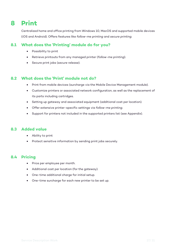### **8 Print**

Centralized home and office printing from Windows 10, MacOS and supported mobile devices (iOS and Android). Offers features like *follow-me printing* and *secure printing*.

#### **8.1 What does the 'Printing' module do for you?**

- Possibility to print
- Retrieve printouts from any managed printer (*follow-me printing*).
- Secure print jobs (*secure release*).

#### **8.2 What does the 'Print' module not do?**

- Print from mobile devices (surcharge via the Mobile Device Management module).
- Customize printers or associated network configuration, as well as the replacement of its parts including cartridges.
- Setting up gateway and associated equipment (additional cost per location).
- Offer extensive printer-specific settings via *follow-me printing*.
- Support for printers not included in the supported printers list (see Appendix).

#### **8.3 Added value**

- Ability to print
- Protect sensitive information by sending print jobs securely.

- Price per employee per month.
- Additional cost per location (for the gateway).
- One-time additional charge for initial setup.
- One-time surcharge for each new printer to be set up.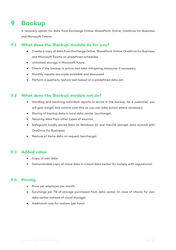### **9 Backup**

A recovery option for data from Exchange Online, SharePoint Online, OneDrive for Business and Microsoft Teams.

#### **9.1 What does the 'Backup' module do for you?**

- Create a copy of data from Exchange Online, SharePoint Online, OneDrive for Business and Microsoft Teams on predefined schedules.
- Unlimited storage in Microsoft Azure.
- Check if the backup is active and take mitigating measures if necessary.
- Monthly reports are made available and discussed.
- Perform a quarterly restore test based on a predefined data set.

#### **9.2 What does the 'Backup' module not do?**

- Handling and resolving individual reports or errors in the backup. As a customer, you will gain insight and control over this so you can take action where necessary.
- Storing of backup data in local data center (surcharge).
- Securing data from other types of sources.
- Safeguard locally saved data on Windows 10 and macOS (except data synced with OneDrive for Business).
- Restore of items data on request (surcharge)

#### **9.3 Added value**

- Copy of own data.
- Demonstrable copy of cloud data in a local data center (to comply with regulations).

- Price per employee per month.
- Surcharge per TB of storage purchased from data center (in case of choice for own data center instead of cloud storage).
- Additional cost for restore (per hour)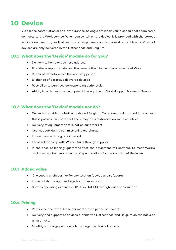### **10 Device**

Via a lease construction or one-off purchase, having a device at your disposal that seamlessly connects to the Work service. When you switch on the device, it is provided with the correct settings and security so that you, as an employee, can get to work straightaway. Physical devices are only delivered in the Netherlands and Belgium.

#### **10.1 What does the 'Device' module do for you?**

- Delivery to home or business address.
- Provides a supported device, then meets the minimum requirements of Work.
- Repair of defects within the warranty period.
- Exchange of defective delivered devices.
- Possibility to purchase corresponding peripherals.
- Ability to order your own equipment through the myWortell app in Microsoft Teams.

#### **10.2 What does the 'Device' module not do?**

- Deliveries outside the Netherlands and Belgium. On request and at an additional cost this is possible. We note that there may be a restriction on some countries.
- Delivery of equipment that is not on our order list.
- User support during commissioning (surcharge).
- Loaner device during repair period.
- Lease relationship with Wortell (runs through supplier).
- In the case of leasing: guarantee that the equipment will continue to meet Work's minimum requirements in terms of specifications for the duration of the lease.

#### **10.3 Added value**

- One supply chain partner for workstation (device and software).
- Immediately the right settings for commissioning.
- Shift to operating expenses (OPEX vs CAPEX) through lease construction.

- Per device one-off or lease per month, for a period of 3 years.
- Delivery and support of devices outside the Netherlands and Belgium on the basis of an estimate.
- Monthly surcharge per device to manage the device lifecycle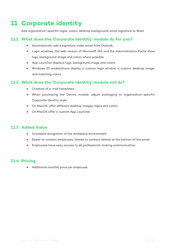### **11 Corporate identity**

Add organization-specific logos, colors, desktop background, email signature to Work.

#### **11.1 What does the 'Corporate Identity' module do for you?**

- Automatically add a signature under email from Outlook.
- Login windows, the web version of Microsoft 365 and the Administration Portal show logo, background image and colors where possible.
- App Launcher displays logo, background image and colors.
- Windows 10 workstations display a custom login window, a custom desktop image, and matching colors.

#### **11.2 What does the 'Corporate Identity' module not do?**

- Creation of e-mail templates.
- When purchasing the Device module: adjust packaging to organization-specific Corporate Identity style.
- On MacOS, offer different desktop images, logos and colors.
- On MacOS offer a custom App Launcher.

#### **11.3 Added Value**

- Increased recognition of the workplace environment.
- Easier to contact employees, thanks to contact details at the bottom of the email.
- Employees have easy access to all professional-looking communication.

#### **11.4 Pricing**

• Additional monthly price per employee.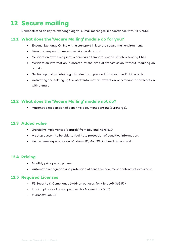### **12 Secure mailing**

Demonstrated ability to exchange digital e-mail messages in accordance with NTA 7516.

#### **12.1 What does the 'Secure Mailing' module do for you?**

- Expand Exchange Online with a transport link to the secure mail environment.
- View and respond to messages via a web portal.
- Verification of the recipient is done via a temporary code, which is sent by SMS.
- Verification information is entered at the time of transmission, without requiring an add-in.
- Setting up and maintaining infrastructural preconditions such as DNS records.
- Activating and setting up Microsoft Information Protection, only meant in combination with e-mail.

#### **12.2 What does the 'Secure Mailing' module not do?**

• Automatic recognition of sensitive document content (surcharge).

#### **12.3 Added value**

- (Partially) implemented 'controls' from BIO and NEN7510
- A setup system to be able to facilitate protection of sensitive information.
- Unified user experience on Windows 10, MacOS, iOS, Android and web.

#### **12.4 Pricing**

- Monthly price per employee.
- Automatic recognition and protection of sensitive document contents at extra cost.

#### **12.5 Required Licenses**

- F5 Security & Compliance (Add-on per user, for Microsoft 365 F3)
- E5 Compliance (Add-on per user, for Microsoft 365 E3)
- Microsoft 365 E5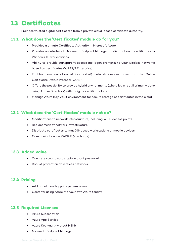### **13 Certificates**

Provides trusted digital certificates from a private cloud-based certificate authority.

#### **13.1 What does the 'Certificates' module do for you?**

- Provides a private Certificate Authority in Microsoft Azure.
- Provides an interface to Microsoft Endpoint Manager for distribution of certificates to Windows 10 workstations.
- Ability to provide transparent access (no logon prompts) to your wireless networks based on certificates (WPA2/3 Enterprise).
- Enables communication of (supported) network devices based on the Online Certificate Status Protocol (OCSP).
- Offers the possibility to provide hybrid environments (where login is still primarily done using Active Directory) with a digital certificate login.
- Manage Azure Key Vault environment for secure storage of certificates in the cloud.

#### **13.2 What does the 'Certificates' module not do?**

- Modifications to network infrastructure, including Wi-Fi access points.
- Replacement of network infrastructure.
- Distribute certificates to macOS-based workstations or mobile devices.
- Communication via RADIUS (surcharge)

#### **13.3 Added value**

- Concrete step towards login without password.
- Robust protection of wireless networks.

#### **13.4 Pricing**

- Additional monthly price per employee.
- Costs for using Azure, via your own Azure tenant

#### **13.5 Required Licenses**

- Azure Subscription
- Azure App Service
- Azure Key vault (without HSM)
- Microsoft Endpoint Manager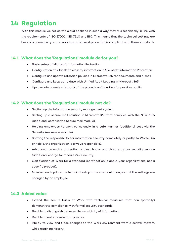### **14 Regulation**

With this module we set up the cloud backend in such a way that it is technically in line with the requirements of ISO 27001, NEN7510 and BIO. This means that the technical settings are basically correct so you can work towards a workplace that is compliant with these standards.

#### **14.1 What does the 'Regulations' module do for you?**

- Basic setup of Microsoft Information Protection
- Configuration of 4 labels to classify information in Microsoft Information Protection
- Configure and update retention policies in Microsoft 365 for documents and e-mail.
- Configure and keep up to date with Unified Audit Logging in Microsoft 365.
- Up-to-date overview (export) of the placed configuration for possible audits

#### **14.2 What does the 'Regulations' module not do?**

- Setting up the information security management system
- Setting up a secure mail solution in Microsoft 365 that complies with the NTA 7516 (additional cost via the Secure mail module).
- Helping employees to work consciously in a safe manner (additional cost via the Security Awareness module).
- Shifting the responsibility for information security completely or partly to Wortell (in principle, the organization is always responsible).
- Advanced, proactive protection against hacks and threats by our security service (additional charge for module 24.7 Security).
- Certification of Work for a standard (certification is about your organizations, not a specific product).
- Maintain and update the technical setup if the standard changes or if the settings are changed by an employee.

#### **14.3 Added value**

- Extend the secure basis of Work with technical measures that can (partially) demonstrate compliance with formal security standards.
- Be able to distinguish between the sensitivity of information.
- Be able to enforce retention policies.
- Ability to view and trace changes to the Work environment from a central system, while retaining history.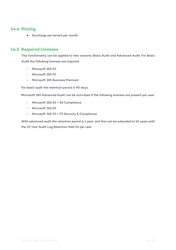#### **14.4 Pricing**

• Surcharge per tenant per month.

#### **14.5 Required Licenses**

This functionality can be applied to two versions: Basic Audit and Advanced Audit. For Basic Audit the following licenses are required:

- Microsoft 365 E3
- Microsoft 365 F3
- Microsoft 365 Business Premium

For basic audit the retention period is 90 days.

Microsoft 365 Advanced Audit can be activated if the following licenses are present per user:

- Microsoft 365 E3 + E5 Compliance
- Microsoft 365 E5
- Microsoft 365 F3 + F5 Security & Compliance

With advanced audit the retention period is 1 year, and this can be extended to 10 years with the 10 Year Audit Log Retention Add On per user.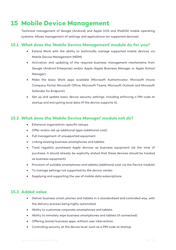### **15 Mobile Device Management**

Technical management of Google (Android) and Apple (iOS and iPadOS) mobile operating systems. Allows management of settings and applications (on supported devices).

#### **15.1 What does the 'Mobile Device Management' module do for you?**

- Extend Work with the ability to technically manage supported mobile devices via Mobile Device Management (MDM).
- Activation and updating of the required business management mechanisms from Google (Android Enterprise) and/or Apple (Apple Business Manager or Apple School Manager).
- Make the basic Work apps available (Microsoft Authenticator, Microsoft Intune Company Portal, Microsoft Office, Microsoft Teams, Microsoft Outlook and Microsoft Defender for Endpoint).
- Set up and update basic device security settings, including enforcing a PIN code at startup and encrypting local data (if the device supports it).

#### **15.2 What does the 'Mobile Device Manager' module not do?**

- Extensive organization-specific setups.
- Offer and/or set up additional apps (additional cost).
- Full management of unsupported equipment.
- Linking existing business smartphones and tablets.
- Treat regularly purchased Apple devices as business equipment (at the time of purchase, it should already be explicitly stated that these devices should be treated as business equipment)
- Provision of suitable smartphones and tablets (additional cost via the Device module)
- To manage settings not supported by the device vendor.
- Supplying and supporting the use of mobile data subscriptions

#### **15.3 Added value**

- Deliver business smart phones and tablets in a standardized and controlled way, with the delivery process being highly automated.
- Ability to customize corporate smartphones and tablets
- Ability to remotely wipe business smartphones and tablets (if connected).
- Offering (some) business apps, without user intervention.
- Controlling security at the device level, such as a PIN code at startup.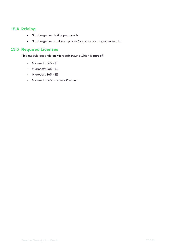#### **15.4 Pricing**

- Surcharge per device per month
- Surcharge per additional profile (apps and settings) per month.

#### **15.5 Required Licenses**

This module depends on Microsoft Intune which is part of:

- Microsoft 365 F3
- Microsoft 365 E3
- Microsoft 365 E5
- Microsoft 365 Business Premium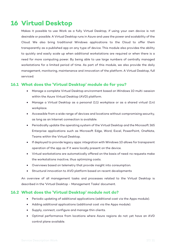### **16 Virtual Desktop**

Makes it possible to use Work as a fully Virtual Desktop, if using your own device is not desirable or possible. A Virtual Desktop runs in Azure and uses the power and scalability of the Cloud. We also bring traditional Windows applications to the Cloud to offer them transparently as a published app on any type of device. This module also provides the ability to quickly and easily scale up when additional workstations are required or when there is a need for more computing power. By being able to use large numbers of centrally managed workstations for a limited period of time. As part of this module, we also provide the daily management, monitoring, maintenance and innovation of the platform. A Virtual Desktop, full serviced.

#### **16.1 What does the 'Virtual Desktop' module do for you?**

- Manage a complete Virtual Desktop environment based on Windows 10 multi-session within the Azure Virtual Desktop (AVD) platform.
- Manage a Virtual Desktop as a personal (1:1) workplace or as a shared virtual (1:n) workplace.
- Accessible from a wide range of devices and locations without compromising security, as long as an Internet connection is available.
- Periodically update the operating system of the Virtual Desktop and the Microsoft 365 Enterprise applications such as Microsoft Edge, Word, Excel, PowerPoint, OneNote, Teams within the Virtual Desktop.
- If deployed to provide legacy apps: integration with Windows 10 allows for transparent operation of the app as if it were locally present on the device.
- Virtual workstations are automatically offered on the basis of need: no requests make the workstations inactive, thus optimizing costs.
- Overviews based on telemetry that provide insight into consumption.
- Structural innovation to AVD platform based on recent developments

An overview of all management tasks and processes related to the Virtual Desktop is described in the 'Virtual Desktop - Management Tasks' document.

#### **16.2 What does the 'Virtual Desktop' module not do?**

- Periodic updating of additional applications (additional cost via the Apps module).
- Adding additional applications (additional cost via the Apps module).
- Supply, connect, configure and manage thin clients.
- Optimal performance from locations where Azure regions do not yet have an AVD control plane available.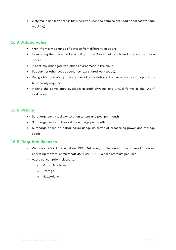• Only make applications visible where the user has permissions (additional cost for *app masking*)

#### **16.3 Added value**

- Work from a wide range of devices from different locations
- Leveraging the power and scalability of the Azure platform based on a consumption model.
- A centrally managed workplace environment in the cloud.
- Support for other usage scenarios (e.g. shared workspace).
- Being able to scale up the number of workstations if extra workstation capacity is temporarily required.
- Making the same apps available in both physical and virtual forms of the 'Work' workplace

#### **16.4 Pricing**

- Surcharge per virtual workstation tenant and pool per month.
- Surcharge per virtual workstation image per month.
- Surcharge based on actual Azure usage (in terms of processing power and storage space).

#### **16.5 Required licenses**

- Windows 365 CAL / Windows RDS CAL (only in the exceptional case of a server operating system) or Microsoft 365 F3/E3/E5/Business premium per user.
- Azure consumption related to:
	- o Virtual Machines
	- o Storage
	- o Networking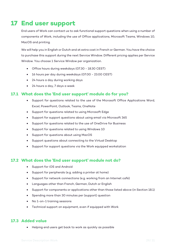### **17 End user support**

End users of Work can contact us to ask functional support questions when using a number of components of Work, including the use of Office applications, Microsoft Teams, Windows 10, MacOS and printing.

We will help you in English or Dutch and at extra cost in French or German. You have the choice to purchase this support during the next Service Window. Different pricing applies per Service Window. You choose 1 Service Window per organization.

- Office hours during weekdays (07.30 18.30 CEST)
- 16 hours per day during weekdays (07.00 23.00 CEST)
- 24 hours a day during working days
- 24 hours a day, 7 days a week

#### **17.1 What does the 'End user support' module do for you?**

- Support for questions related to the use of the Microsoft Office Applications Word, Excel, PowerPoint, Outlook, Teams, OneNote
- Support for questions related to using Microsoft Edge
- Support for support questions about using email via Microsoft 365
- Support for questions related to the use of OneDrive for Business
- Support for questions related to using Windows 10
- Support for questions about using MacOS
- Support questions about connecting to the Virtual Desktop
- Support for support questions via the Work equipped workstation

#### **17.2 What does the 'End user support' module not do?**

- Support for iOS and Android
- Support for peripherals (e.g. adding a printer at home)
- Support for network connections (e.g. working from an Internet café)
- Languages other than French, German, Dutch or English
- Support for components or applications other than those listed above (in Section 18.1)
- Spending more than 30 minutes per (support) question
- No 1-on-1 training sessions
- Technical support on equipment, even if equipped with Work

#### **17.3 Added value**

• Helping end users get back to work as quickly as possible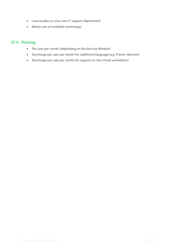- Less burden on your own IT support department
- Better use of available technology.

- Per user per month (depending on the Service Window)
- Surcharge per user per month for additional language (e.g. French, German)
- Surcharge per user per month for support on the virtual workstation